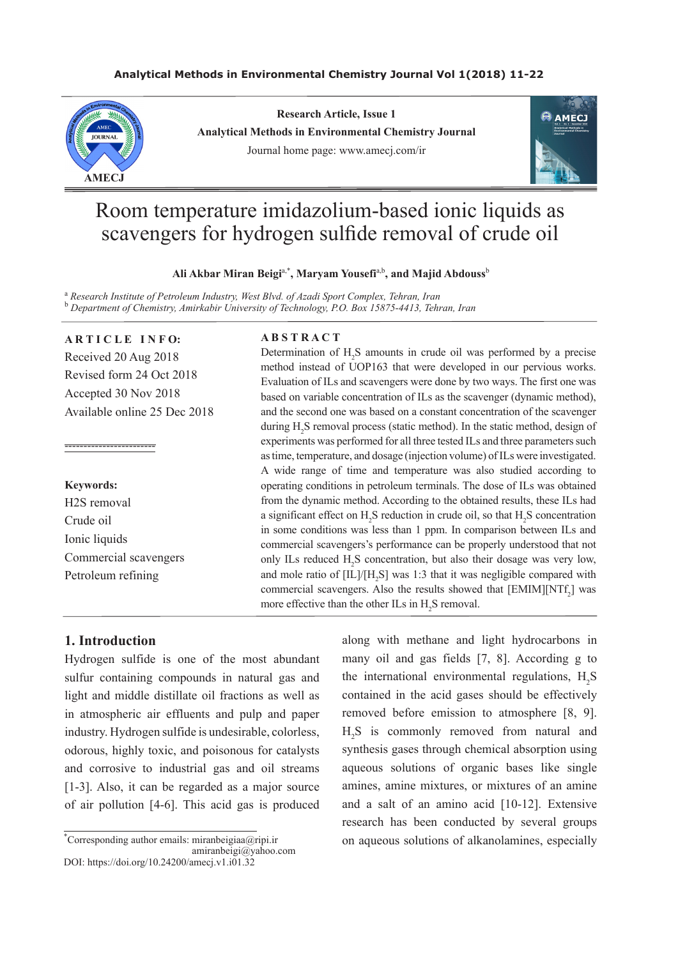## **Analytical Methods in Environmental Chemistry Journal Vol 1(2018) 11-22**



**Research Article, Issue 1 Analytical Methods in Environmental Chemistry Journal** Journal home page: www.amecj.com/ir



# Room temperature imidazolium-based ionic liquids as scavengers for hydrogen sulfide removal of crude oil

#### **Ali Akbar Miran Beigi**a,\***, Maryam Yousefi**a,b**, and Majid Abdouss**<sup>b</sup>

<sup>a</sup> Research Institute of Petroleum Industry, West Blvd. of Azadi Sport Complex, Tehran, Iran b  *Department of Chemistry, Amirkabir University of Technology, P.O. Box 15875-4413, Tehran, Iran*

## **ARTICLE INFO:**

Received 20 Aug 2018 Revised form 24 Oct 2018 Accepted 30 Nov 2018 Available online 25 Dec 2018

# **Keywords:** H2S removal Crude oil Ionic liquids Commercial scavengers Petroleum refining

------------------------

# **A B S T R A C T**

Determination of  $H_2S$  amounts in crude oil was performed by a precise method instead of UOP163 that were developed in our pervious works. Evaluation of ILs and scavengers were done by two ways. The first one was based on variable concentration of ILs as the scavenger (dynamic method), and the second one was based on a constant concentration of the scavenger during  $H_2S$  removal process (static method). In the static method, design of experiments was performed for all three tested ILs and three parameters such as time, temperature, and dosage (injection volume) of ILs were investigated. A wide range of time and temperature was also studied according to operating conditions in petroleum terminals. The dose of ILs was obtained from the dynamic method. According to the obtained results, these ILs had a significant effect on  $H_2S$  reduction in crude oil, so that  $H_2S$  concentration in some conditions was less than 1 ppm. In comparison between ILs and commercial scavengers's performance can be properly understood that not only ILs reduced  $H_2S$  concentration, but also their dosage was very low, and mole ratio of  $[IL]/[H_2S]$  was 1:3 that it was negligible compared with commercial scavengers. Also the results showed that  $[EMIM][NTf<sub>2</sub>]$  was more effective than the other ILs in  $H_2S$  removal.

# **1. Introduction**

Hydrogen sulfide is one of the most abundant sulfur containing compounds in natural gas and light and middle distillate oil fractions as well as in atmospheric air effluents and pulp and paper industry. Hydrogen sulfide is undesirable, colorless, odorous, highly toxic, and poisonous for catalysts and corrosive to industrial gas and oil streams [1-3]. Also, it can be regarded as a major source of air pollution [4-6]. This acid gas is produced

\* Corresponding author emails: miranbeigiaa@ripi.ir amiranbeigi@yahoo.com DOI: https://doi.org/10.24200/amecj.v1.i01.32

along with methane and light hydrocarbons in many oil and gas fields [7, 8]. According g to the international environmental regulations,  $H_2S$ contained in the acid gases should be effectively removed before emission to atmosphere [8, 9]. H2 S is commonly removed from natural and synthesis gases through chemical absorption using aqueous solutions of organic bases like single amines, amine mixtures, or mixtures of an amine and a salt of an amino acid [10-12]. Extensive research has been conducted by several groups on aqueous solutions of alkanolamines, especially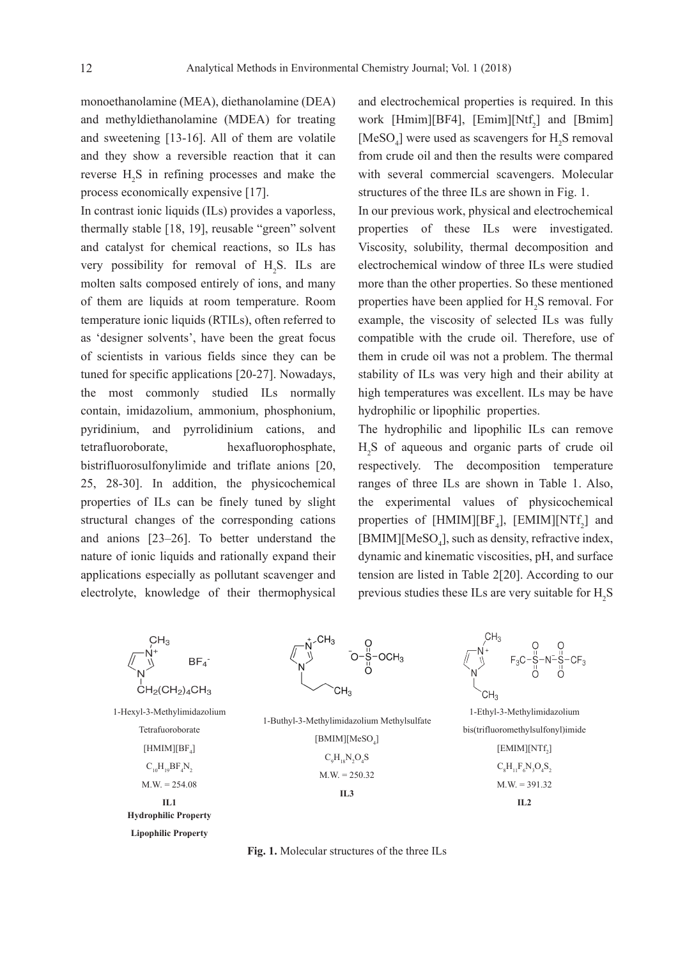monoethanolamine (MEA), diethanolamine (DEA) and methyldiethanolamine (MDEA) for treating and sweetening [13-16]. All of them are volatile and they show a reversible reaction that it can reverse  $H_2S$  in refining processes and make the process economically expensive [17].

In contrast ionic liquids (ILs) provides a vaporless, thermally stable [18, 19], reusable "green" solvent and catalyst for chemical reactions, so ILs has very possibility for removal of  $H_2S$ . ILs are molten salts composed entirely of ions, and many of them are liquids at room temperature. Room temperature ionic liquids (RTILs), often referred to as 'designer solvents', have been the great focus of scientists in various fields since they can be tuned for specific applications [20-27]. Nowadays, the most commonly studied ILs normally contain, imidazolium, ammonium, phosphonium, pyridinium, and pyrrolidinium cations, and tetrafluoroborate, hexafluorophosphate, bistrifluorosulfonylimide and triflate anions [20, 25, 28-30]. In addition, the physicochemical properties of ILs can be finely tuned by slight structural changes of the corresponding cations and anions [23–26]. To better understand the nature of ionic liquids and rationally expand their applications especially as pollutant scavenger and electrolyte, knowledge of their thermophysical

and electrochemical properties is required. In this work [Hmim][BF4], [Emim][Ntf<sub>2</sub>] and [Bmim] [ $MeSO<sub>4</sub>$ ] were used as scavengers for  $H<sub>2</sub>S$  removal from crude oil and then the results were compared with several commercial scavengers. Molecular structures of the three ILs are shown in Fig. 1.

In our previous work, physical and electrochemical properties of these ILs were investigated. Viscosity, solubility, thermal decomposition and electrochemical window of three ILs were studied more than the other properties. So these mentioned properties have been applied for  $H_2S$  removal. For example, the viscosity of selected ILs was fully compatible with the crude oil. Therefore, use of them in crude oil was not a problem. The thermal stability of ILs was very high and their ability at high temperatures was excellent. ILs may be have hydrophilic or lipophilic properties.

The hydrophilic and lipophilic ILs can remove H2 S of aqueous and organic parts of crude oil respectively. The decomposition temperature ranges of three ILs are shown in Table 1. Also, the experimental values of physicochemical properties of [HMIM][ $BF_4$ ], [EMIM][NT $f_2$ ] and [BMIM][MeSO<sub>4</sub>], such as density, refractive index, dynamic and kinematic viscosities, pH, and surface tension are listed in Table 2[20]. According to our previous studies these ILs are very suitable for  $H_2S$ 



**Lipophilic Property** 

**Fig. 1.** Molecular structures of the three ILs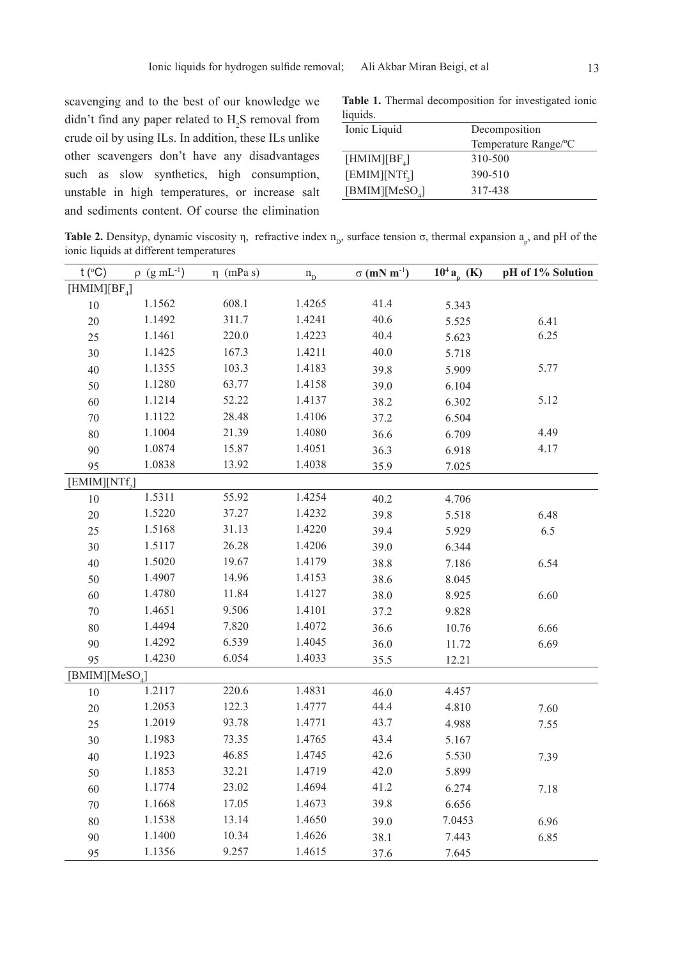scavenging and to the best of our knowledge we didn't find any paper related to  $H_2S$  removal from crude oil by using ILs. In addition, these ILs unlike other scavengers don't have any disadvantages such as slow synthetics, high consumption, unstable in high temperatures, or increase salt and sediments content. Of course the elimination

**Table 1.** Thermal decomposition for investigated ionic liquids.

| Ionic Liquid      | Decomposition        |
|-------------------|----------------------|
|                   | Temperature Range/°C |
| [HMIM][ $BF_4$ ]  | 310-500              |
| $[EMIM][NTf_{2}]$ | 390-510              |
| [BMIM][ $MeSO4$ ] | 317-438              |
|                   |                      |

**Table 2.** Densityp, dynamic viscosity  $\eta$ , refractive index  $n_p$ , surface tension  $\sigma$ , thermal expansion  $a_p$ , and pH of the ionic liquids at different temperatures

| t ( $\rm ^{\circ}C$ )      | $\rho$ (g mL <sup>-1</sup> ) | $\eta$ (mPa s) | $n_{\rm D}$ | $\sigma$ (mN m <sup>-1</sup> ) | $10^4 a_n$ (K) | pH of 1% Solution |
|----------------------------|------------------------------|----------------|-------------|--------------------------------|----------------|-------------------|
| [HMIM][ $BF4$ ]            |                              |                |             |                                |                |                   |
| $10\,$                     | 1.1562                       | 608.1          | 1.4265      | 41.4                           | 5.343          |                   |
| 20                         | 1.1492                       | 311.7          | 1.4241      | 40.6                           | 5.525          | 6.41              |
| 25                         | 1.1461                       | 220.0          | 1.4223      | 40.4                           | 5.623          | 6.25              |
| 30                         | 1.1425                       | 167.3          | 1.4211      | 40.0                           | 5.718          |                   |
| 40                         | 1.1355                       | 103.3          | 1.4183      | 39.8                           | 5.909          | 5.77              |
| 50                         | 1.1280                       | 63.77          | 1.4158      | 39.0                           | 6.104          |                   |
| 60                         | 1.1214                       | 52.22          | 1.4137      | 38.2                           | 6.302          | 5.12              |
| $70\,$                     | 1.1122                       | 28.48          | 1.4106      | 37.2                           | 6.504          |                   |
| 80                         | 1.1004                       | 21.39          | 1.4080      | 36.6                           | 6.709          | 4.49              |
| 90                         | 1.0874                       | 15.87          | 1.4051      | 36.3                           | 6.918          | 4.17              |
| 95                         | 1.0838                       | 13.92          | 1.4038      | 35.9                           | 7.025          |                   |
| [EMIM][NTf <sub>2</sub> ]  |                              |                |             |                                |                |                   |
| $10\,$                     | 1.5311                       | 55.92          | 1.4254      | 40.2                           | 4.706          |                   |
| 20                         | 1.5220                       | 37.27          | 1.4232      | 39.8                           | 5.518          | 6.48              |
| 25                         | 1.5168                       | 31.13          | 1.4220      | 39.4                           | 5.929          | 6.5               |
| 30                         | 1.5117                       | 26.28          | 1.4206      | 39.0                           | 6.344          |                   |
| 40                         | 1.5020                       | 19.67          | 1.4179      | 38.8                           | 7.186          | 6.54              |
| 50                         | 1.4907                       | 14.96          | 1.4153      | 38.6                           | 8.045          |                   |
| 60                         | 1.4780                       | 11.84          | 1.4127      | 38.0                           | 8.925          | 6.60              |
| $70\,$                     | 1.4651                       | 9.506          | 1.4101      | 37.2                           | 9.828          |                   |
| 80                         | 1.4494                       | 7.820          | 1.4072      | 36.6                           | 10.76          | 6.66              |
| 90                         | 1.4292                       | 6.539          | 1.4045      | 36.0                           | 11.72          | 6.69              |
| 95                         | 1.4230                       | 6.054          | 1.4033      | 35.5                           | 12.21          |                   |
| [BMIM][MeSO <sub>4</sub> ] |                              |                |             |                                |                |                   |
| $10\,$                     | 1.2117                       | 220.6          | 1.4831      | 46.0                           | 4.457          |                   |
| 20                         | 1.2053                       | 122.3          | 1.4777      | 44.4                           | 4.810          | 7.60              |
| 25                         | 1.2019                       | 93.78          | 1.4771      | 43.7                           | 4.988          | 7.55              |
| 30                         | 1.1983                       | 73.35          | 1.4765      | 43.4                           | 5.167          |                   |
| 40                         | 1.1923                       | 46.85          | 1.4745      | 42.6                           | 5.530          | 7.39              |
| 50                         | 1.1853                       | 32.21          | 1.4719      | 42.0                           | 5.899          |                   |
| 60                         | 1.1774                       | 23.02          | 1.4694      | 41.2                           | 6.274          | 7.18              |
| $70\,$                     | 1.1668                       | 17.05          | 1.4673      | 39.8                           | 6.656          |                   |
| $80\,$                     | 1.1538                       | 13.14          | 1.4650      | 39.0                           | 7.0453         | 6.96              |
| 90                         | 1.1400                       | 10.34          | 1.4626      | 38.1                           | 7.443          | 6.85              |
| 95                         | 1.1356                       | 9.257          | 1.4615      | 37.6                           | 7.645          |                   |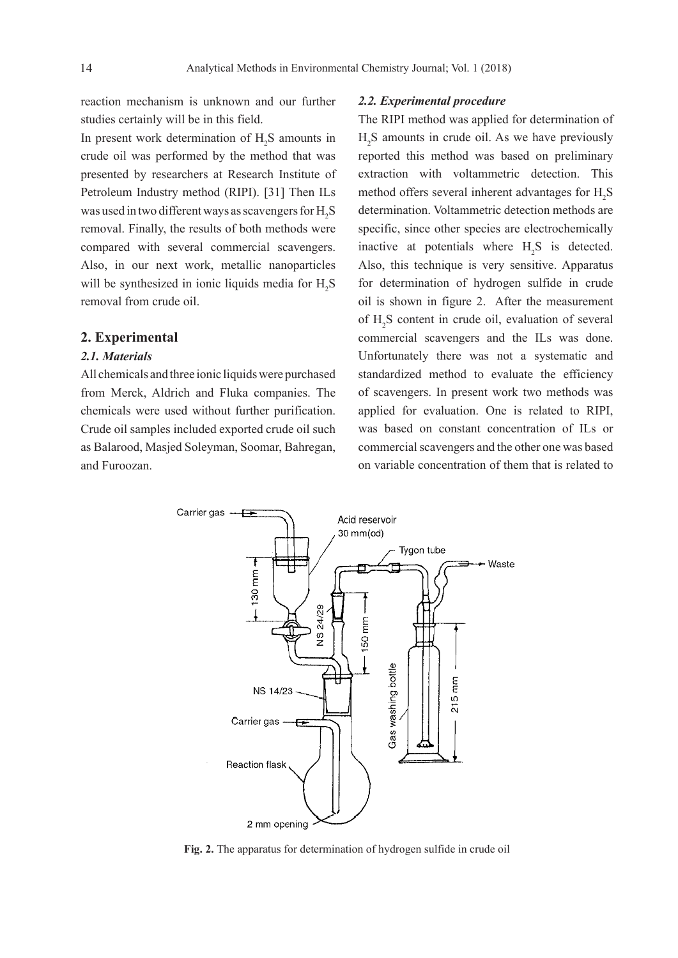reaction mechanism is unknown and our further studies certainly will be in this field.

In present work determination of  $H_2S$  amounts in crude oil was performed by the method that was presented by researchers at Research Institute of Petroleum Industry method (RIPI). [31] Then ILs was used in two different ways as scavengers for  $\rm H_2S$ removal. Finally, the results of both methods were compared with several commercial scavengers. Also, in our next work, metallic nanoparticles will be synthesized in ionic liquids media for  $H_2S$ removal from crude oil.

#### **2. Experimental**

# *2.1. Materials*

All chemicals and three ionic liquids were purchased from Merck, Aldrich and Fluka companies. The chemicals were used without further purification. Crude oil samples included exported crude oil such as Balarood, Masjed Soleyman, Soomar, Bahregan, and Furoozan.

#### *2.2. Experimental procedure*

The RIPI method was applied for determination of  $H<sub>2</sub>S$  amounts in crude oil. As we have previously reported this method was based on preliminary extraction with voltammetric detection. This method offers several inherent advantages for  $H_2S$ determination. Voltammetric detection methods are specific, since other species are electrochemically inactive at potentials where  $H_2S$  is detected. Also, this technique is very sensitive. Apparatus for determination of hydrogen sulfide in crude oil is shown in figure 2. After the measurement of  $H_2S$  content in crude oil, evaluation of several commercial scavengers and the ILs was done. Unfortunately there was not a systematic and standardized method to evaluate the efficiency of scavengers. In present work two methods was applied for evaluation. One is related to RIPI, was based on constant concentration of ILs or commercial scavengers and the other one was based on variable concentration of them that is related to



**Fig. 2.** The apparatus for determination of hydrogen sulfide in crude oil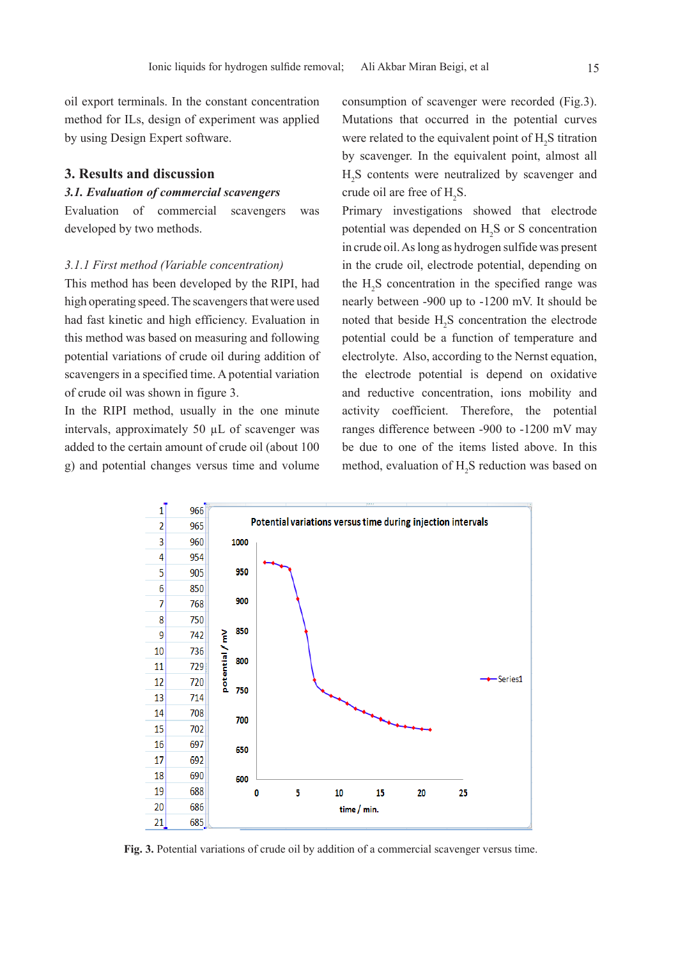oil export terminals. In the constant concentration method for ILs, design of experiment was applied by using Design Expert software.

#### **3. Results and discussion**

# *3.1. Evaluation of commercial scavengers*

Evaluation of commercial scavengers was developed by two methods.

#### *3.1.1 First method (Variable concentration)*

This method has been developed by the RIPI, had high operating speed. The scavengers that were used had fast kinetic and high efficiency. Evaluation in this method was based on measuring and following potential variations of crude oil during addition of scavengers in a specified time. A potential variation of crude oil was shown in figure 3.

In the RIPI method, usually in the one minute intervals, approximately 50 µL of scavenger was added to the certain amount of crude oil (about 100 g) and potential changes versus time and volume consumption of scavenger were recorded (Fig.3). Mutations that occurred in the potential curves were related to the equivalent point of  $H_2S$  titration by scavenger. In the equivalent point, almost all H2 S contents were neutralized by scavenger and crude oil are free of  $H_2S$ .

Primary investigations showed that electrode potential was depended on  $H_2S$  or S concentration in crude oil. As long as hydrogen sulfide was present in the crude oil, electrode potential, depending on the  $H_2S$  concentration in the specified range was nearly between -900 up to -1200 mV. It should be noted that beside  $H_2S$  concentration the electrode potential could be a function of temperature and electrolyte. Also, according to the Nernst equation, the electrode potential is depend on oxidative and reductive concentration, ions mobility and activity coefficient. Therefore, the potential ranges difference between -900 to -1200 mV may be due to one of the items listed above. In this method, evaluation of  $H_2S$  reduction was based on



**Fig. 3.** Potential variations of crude oil by addition of a commercial scavenger versus time.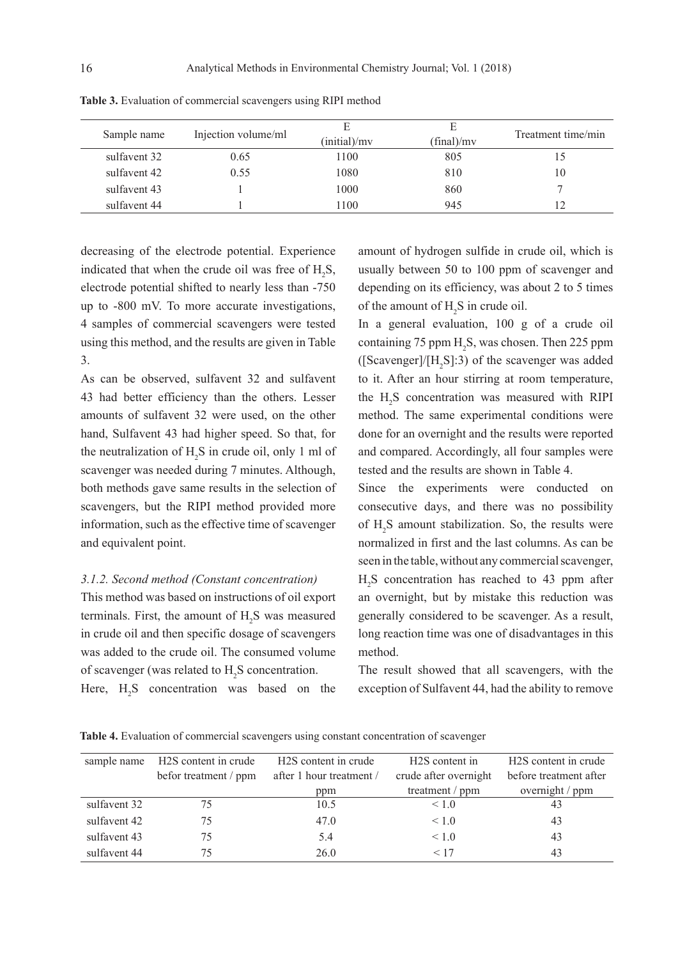| Sample name  | Injection volume/ml | (initial)/mv | Е<br>(final)/mv | Treatment time/min |
|--------------|---------------------|--------------|-----------------|--------------------|
| sulfavent 32 | 0.65                | 1100         | 805             |                    |
| sulfavent 42 | 0.55                | 1080         | 810             | 10                 |
| sulfavent 43 |                     | 1000         | 860             |                    |
| sulfavent 44 |                     | 1100         | 945             |                    |

**Table 3.** Evaluation of commercial scavengers using RIPI method

decreasing of the electrode potential. Experience indicated that when the crude oil was free of  $H_2S$ , electrode potential shifted to nearly less than -750 up to -800 mV. To more accurate investigations, 4 samples of commercial scavengers were tested using this method, and the results are given in Table 3.

As can be observed, sulfavent 32 and sulfavent 43 had better efficiency than the others. Lesser amounts of sulfavent 32 were used, on the other hand, Sulfavent 43 had higher speed. So that, for the neutralization of  $H_2S$  in crude oil, only 1 ml of scavenger was needed during 7 minutes. Although, both methods gave same results in the selection of scavengers, but the RIPI method provided more information, such as the effective time of scavenger and equivalent point.

# *3.1.2. Second method (Constant concentration)*

This method was based on instructions of oil export terminals. First, the amount of  $H_2S$  was measured in crude oil and then specific dosage of scavengers was added to the crude oil. The consumed volume of scavenger (was related to  $H_2S$  concentration.

Here,  $H_2S$  concentration was based on the

amount of hydrogen sulfide in crude oil, which is usually between 50 to 100 ppm of scavenger and depending on its efficiency, was about 2 to 5 times of the amount of  $H_2S$  in crude oil.

In a general evaluation, 100 g of a crude oil containing 75 ppm  $H_2S$ , was chosen. Then 225 ppm ([Scavenger]/ $[H_2S]$ :3) of the scavenger was added to it. After an hour stirring at room temperature, the  $H_2S$  concentration was measured with RIPI method. The same experimental conditions were done for an overnight and the results were reported and compared. Accordingly, all four samples were tested and the results are shown in Table 4.

Since the experiments were conducted consecutive days, and there was no possibility of  $H_2S$  amount stabilization. So, the results were normalized in first and the last columns. As can be seen in the table, without any commercial scavenger, H2 S concentration has reached to 43 ppm after an overnight, but by mistake this reduction was generally considered to be scavenger. As a result, long reaction time was one of disadvantages in this method.

The result showed that all scavengers, with the exception of Sulfavent 44, had the ability to remove

**Table 4.** Evaluation of commercial scavengers using constant concentration of scavenger

| sample name  | H <sub>2</sub> S content in crude | H <sub>2</sub> S content in crude | H <sub>2</sub> S content in | H <sub>2</sub> S content in crude |
|--------------|-----------------------------------|-----------------------------------|-----------------------------|-----------------------------------|
|              | befor treatment / ppm             | after 1 hour treatment /          | crude after overnight       | before treatment after            |
|              |                                   | ppm                               | treatment / $ppm$           | overnight / ppm                   |
| sulfavent 32 | 75                                | 10.5                              | < 1.0                       | 43                                |
| sulfavent 42 | 75                                | 47.0                              | < 1.0                       | 43                                |
| sulfavent 43 | 75                                | 5.4                               | < 1.0                       | 43                                |
| sulfavent 44 | 75                                | 26 0                              | < 17                        | 43                                |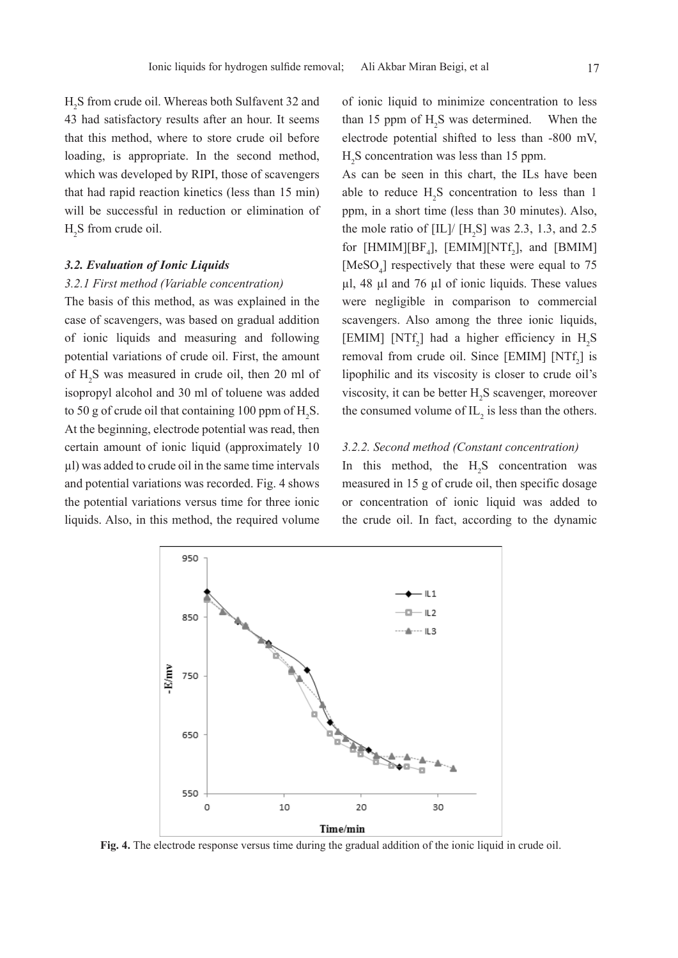H2 S from crude oil. Whereas both Sulfavent 32 and 43 had satisfactory results after an hour. It seems that this method, where to store crude oil before loading, is appropriate. In the second method, which was developed by RIPI, those of scavengers that had rapid reaction kinetics (less than 15 min) will be successful in reduction or elimination of  $H_2S$  from crude oil.

#### *3.2. Evaluation of Ionic Liquids*

#### *3.2.1 First method (Variable concentration)*

The basis of this method, as was explained in the case of scavengers, was based on gradual addition of ionic liquids and measuring and following potential variations of crude oil. First, the amount of  $H_2$ S was measured in crude oil, then 20 ml of isopropyl alcohol and 30 ml of toluene was added to 50 g of crude oil that containing 100 ppm of  $H_2S$ . At the beginning, electrode potential was read, then certain amount of ionic liquid (approximately 10 µl) was added to crude oil in the same time intervals and potential variations was recorded. Fig. 4 shows the potential variations versus time for three ionic liquids. Also, in this method, the required volume

of ionic liquid to minimize concentration to less than 15 ppm of  $H_2S$  was determined. When the electrode potential shifted to less than -800 mV,  $H<sub>2</sub>S$  concentration was less than 15 ppm.

As can be seen in this chart, the ILs have been able to reduce  $H_2S$  concentration to less than 1 ppm, in a short time (less than 30 minutes). Also, the mole ratio of  $\text{[IL]} / \text{[H}_2\text{S]}$  was 2.3, 1.3, and 2.5 for [HMIM][ $BF_4$ ], [EMIM][NTf<sub>2</sub>], and [BMIM] [ $MeSO<sub>4</sub>$ ] respectively that these were equal to 75 µl, 48 µl and 76 µl of ionic liquids. These values were negligible in comparison to commercial scavengers. Also among the three ionic liquids, [EMIM] [NTf<sub>2</sub>] had a higher efficiency in  $H_2S$ removal from crude oil. Since  $[EMIM]$   $[NTf<sub>2</sub>]$  is lipophilic and its viscosity is closer to crude oil's viscosity, it can be better  $H_2S$  scavenger, moreover the consumed volume of  $IL_2$  is less than the others.

## *3.2.2. Second method (Constant concentration)*

In this method, the  $H_2S$  concentration was measured in 15 g of crude oil, then specific dosage or concentration of ionic liquid was added to the crude oil. In fact, according to the dynamic



**Fig. 4.** The electrode response versus time during the gradual addition of the ionic liquid in crude oil.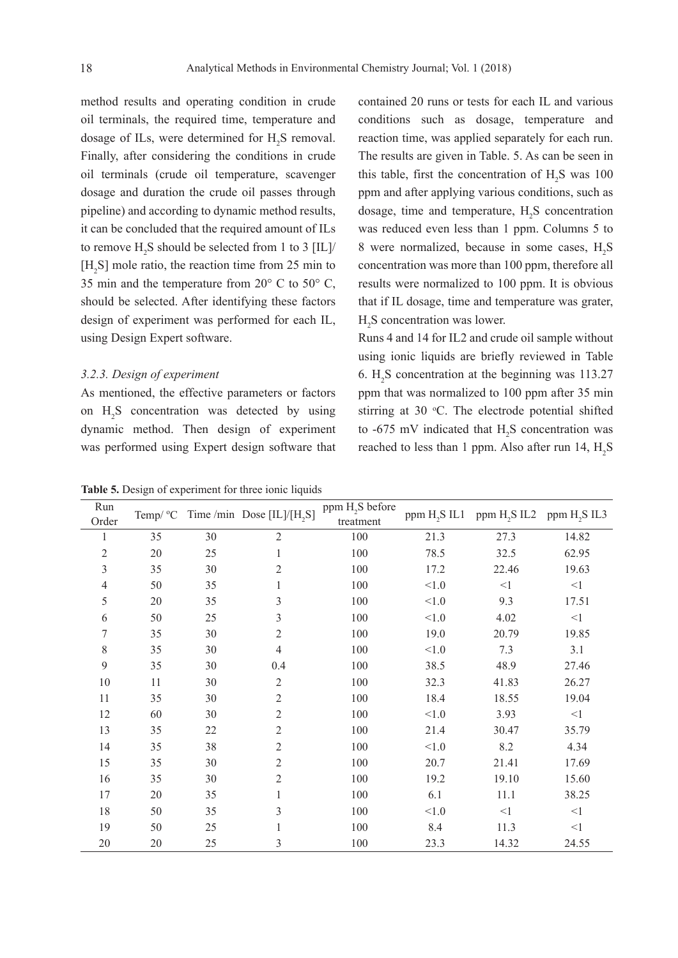method results and operating condition in crude oil terminals, the required time, temperature and dosage of ILs, were determined for  $H_2S$  removal. Finally, after considering the conditions in crude oil terminals (crude oil temperature, scavenger dosage and duration the crude oil passes through pipeline) and according to dynamic method results, it can be concluded that the required amount of ILs to remove  $H_2S$  should be selected from 1 to 3 [IL]/  $[H_2S]$  mole ratio, the reaction time from 25 min to 35 min and the temperature from  $20^{\circ}$  C to  $50^{\circ}$  C, should be selected. After identifying these factors design of experiment was performed for each IL, using Design Expert software.

#### *3.2.3. Design of experiment*

As mentioned, the effective parameters or factors on  $H_2S$  concentration was detected by using dynamic method. Then design of experiment was performed using Expert design software that

contained 20 runs or tests for each IL and various conditions such as dosage, temperature and reaction time, was applied separately for each run. The results are given in Table. 5. As can be seen in this table, first the concentration of  $H_2S$  was 100 ppm and after applying various conditions, such as dosage, time and temperature,  $H_2S$  concentration was reduced even less than 1 ppm. Columns 5 to 8 were normalized, because in some cases,  $H_2S$ concentration was more than 100 ppm, therefore all results were normalized to 100 ppm. It is obvious that if IL dosage, time and temperature was grater,  $H_2S$  concentration was lower.

Runs 4 and 14 for IL2 and crude oil sample without using ionic liquids are briefly reviewed in Table 6.  $H_2S$  concentration at the beginning was 113.27 ppm that was normalized to 100 ppm after 35 min stirring at 30  $\degree$ C. The electrode potential shifted to  $-675$  mV indicated that  $H_2S$  concentration was reached to less than 1 ppm. Also after run  $14, H<sub>2</sub>S$ 

**Table 5.** Design of experiment for three ionic liquids

| Run   | Temp/ °C |    | Time /min Dose [IL]/[H <sub>2</sub> S] | ppm H <sub>2</sub> S before | ppm H <sub>2</sub> S IL1 |           |                                                   |
|-------|----------|----|----------------------------------------|-----------------------------|--------------------------|-----------|---------------------------------------------------|
| Order |          |    |                                        | treatment                   |                          |           | ppm H <sub>2</sub> S IL2 ppm H <sub>2</sub> S IL3 |
| 1     | 35       | 30 | $\overline{2}$                         | 100                         | 21.3                     | 27.3      | 14.82                                             |
| 2     | $20\,$   | 25 |                                        | 100                         | 78.5                     | 32.5      | 62.95                                             |
| 3     | 35       | 30 | 2                                      | 100                         | 17.2                     | 22.46     | 19.63                                             |
| 4     | 50       | 35 |                                        | 100                         | $<1.0$                   | $<$ $\!1$ | $\leq$ 1                                          |
| 5     | $20\,$   | 35 | 3                                      | 100                         | $<1.0$                   | 9.3       | 17.51                                             |
| 6     | 50       | 25 | 3                                      | 100                         | $<1.0$                   | 4.02      | $<$ 1                                             |
| 7     | 35       | 30 | $\overline{2}$                         | 100                         | 19.0                     | 20.79     | 19.85                                             |
| 8     | 35       | 30 | 4                                      | 100                         | $<1.0$                   | 7.3       | 3.1                                               |
| 9     | 35       | 30 | 0.4                                    | 100                         | 38.5                     | 48.9      | 27.46                                             |
| 10    | 11       | 30 | $\mathfrak{2}$                         | 100                         | 32.3                     | 41.83     | 26.27                                             |
| 11    | 35       | 30 | $\overline{2}$                         | 100                         | 18.4                     | 18.55     | 19.04                                             |
| 12    | 60       | 30 | $\overline{2}$                         | 100                         | $<1.0$                   | 3.93      | $\leq$ 1                                          |
| 13    | 35       | 22 | 2                                      | 100                         | 21.4                     | 30.47     | 35.79                                             |
| 14    | 35       | 38 | 2                                      | 100                         | $<1.0$                   | 8.2       | 4.34                                              |
| 15    | 35       | 30 | 2                                      | 100                         | 20.7                     | 21.41     | 17.69                                             |
| 16    | 35       | 30 | 2                                      | 100                         | 19.2                     | 19.10     | 15.60                                             |
| 17    | $20\,$   | 35 |                                        | 100                         | 6.1                      | 11.1      | 38.25                                             |
| 18    | 50       | 35 | 3                                      | 100                         | $<1.0$                   | $<$ $\!1$ | $<\!\!1$                                          |
| 19    | 50       | 25 |                                        | 100                         | 8.4                      | 11.3      | $<\!\!1$                                          |
| 20    | 20       | 25 | 3                                      | 100                         | 23.3                     | 14.32     | 24.55                                             |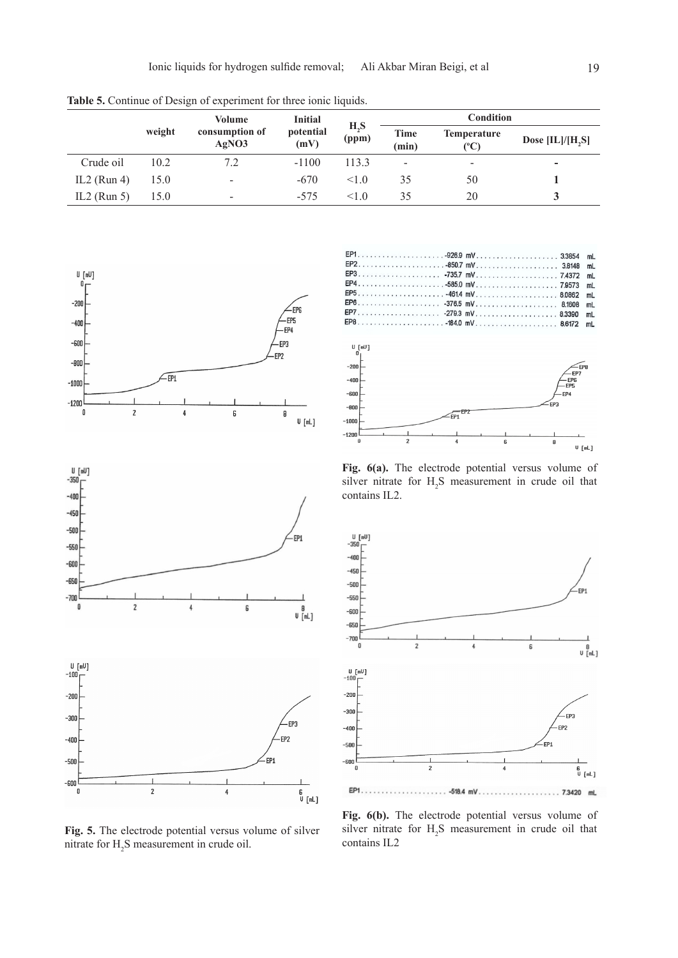**Table 5.** Continue of Design of experiment for three ionic liquids.

|             |        | Volume                   | <b>Initial</b><br>$H_2S$<br>potential<br>(mV) |       | <b>Condition</b>         |                            |                          |  |
|-------------|--------|--------------------------|-----------------------------------------------|-------|--------------------------|----------------------------|--------------------------|--|
|             | weight | consumption of<br>AgNO3  |                                               | (ppm) | Time<br>(min)            | <b>Temperature</b><br>(°C) | Dose $[IL]/[H,S]$        |  |
| Crude oil   | 10.2   | 7.2                      | $-1100$                                       | 113.3 | $\overline{\phantom{a}}$ | -                          | $\overline{\phantom{0}}$ |  |
| IL2 (Run 4) | 15.0   | -                        | $-670$                                        | 1.0   | 35                       | 50                         |                          |  |
| IL2 (Run 5) | 15.0   | $\overline{\phantom{0}}$ | $-575$                                        | <10   | 35                       | 20                         |                          |  |

FP<sub>1</sub>

FP<sub>2</sub>







**FP3**  $-735.7$  mV. 7.4372  $m<sub>L</sub>$ EP4  $-585.0$  mV.. 7.9573  $m<sub>L</sub>$ EP<sub>5</sub>  $-461.4$  mV. 8.0862  $m<sub>L</sub>$ EP6  $-376.5$  mV.. 8.1608 mL EP7  $-279.3$  mV. 8.3390 mL EP8  $-184.0$  mV. 8.6172 mL U. Fell1  $-2n$  $-400$ -<br>-EP<br>-EP5 -600 EP4 .<br>בק  $-800$ FP<sub>1</sub>  $-1000$ -1200 B  $U$  [mL]

 $-926.9$  mV.

 $-850.7$  mV..........

**Fig. 6(a).** The electrode potential versus volume of silver nitrate for  $H_2S$  measurement in crude oil that contains IL2.



**Fig. 5.** The electrode potential versus volume of silver mitrate for  $H_2S$  measurement in crude oil.

**Fig. 6(b).** The electrode potential versus volume of silver nitrate for  $H_2S$  measurement in crude oil that contains IL2

3.3854  $mL$ 

3.8148  $mL$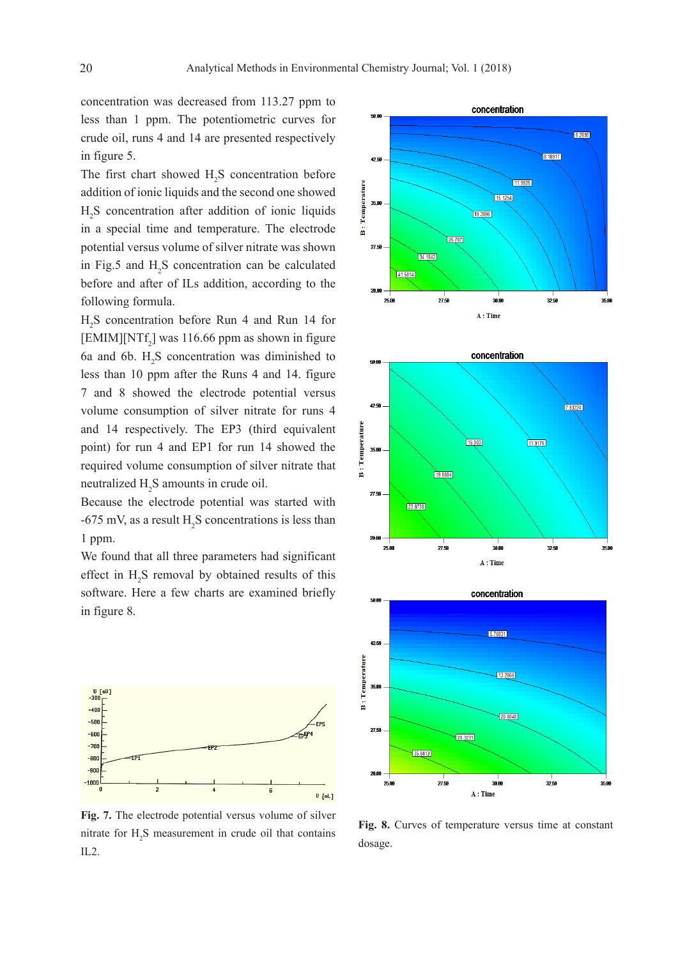concentration was decreased from 113.27 ppm to less than 1 ppm. The potentiometric curves for crude oil, runs 4 and 14 are presented respectively in figure 5.

The first chart showed  $H_2S$  concentration before addition of ionic liquids and the second one showed  $H<sub>2</sub>S$  concentration after addition of ionic liquids in a special time and temperature. The electrode potential versus volume of silver nitrate was shown in Fig.5 and  $H_2S$  concentration can be calculated before and after of ILs addition, according to the following formula.

H2 S concentration before Run 4 and Run 14 for [EMIM][NT $f_2$ ] was 116.66 ppm as shown in figure 6a and 6b.  $H_2S$  concentration was diminished to less than 10 ppm after the Runs 4 and 14. figure 7 and 8 showed the electrode potential versus volume consumption of silver nitrate for runs 4 and 14 respectively. The EP3 (third equivalent point) for run 4 and EP1 for run 14 showed the required volume consumption of silver nitrate that neutralized  $H_2S$  amounts in crude oil.

Because the electrode potential was started with  $-675$  mV, as a result H<sub>2</sub>S concentrations is less than 1 ppm.

We found that all three parameters had significant effect in  $H_2S$  removal by obtained results of this software. Here a few charts are examined briefly in figure 8.



**Fig. 7.** The electrode potential versus volume of silver nitrate for  $H_2S$  measurement in crude oil that contains IL2.







**Fig. 8.** Curves of temperature versus time at constant dosage.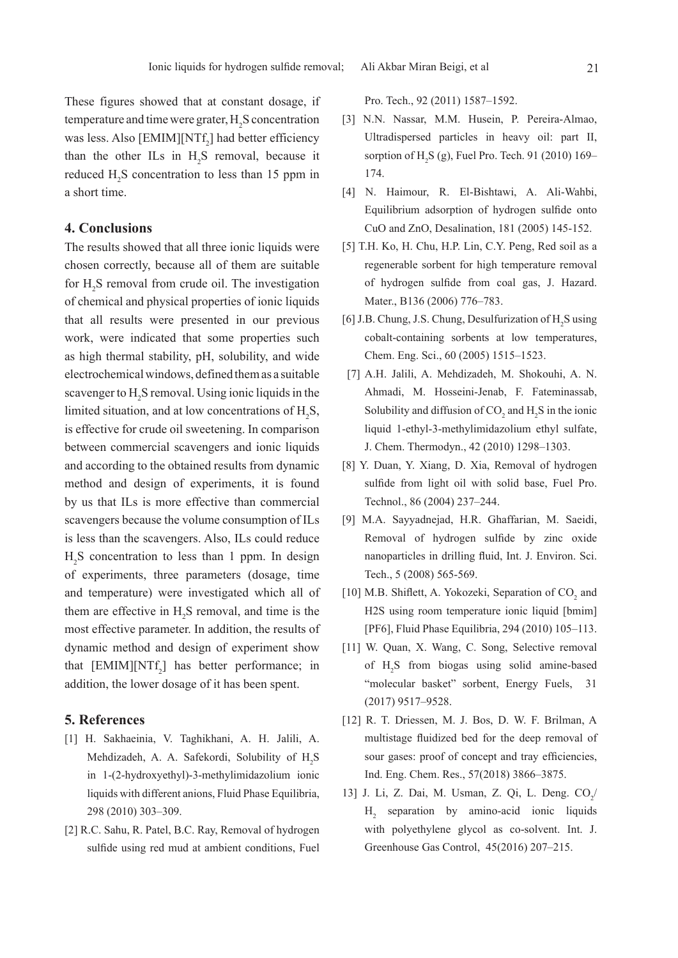These figures showed that at constant dosage, if temperature and time were grater,  $H_2S$  concentration was less. Also  $[EMIM][NTf_2]$  had better efficiency than the other ILs in  $H_2S$  removal, because it reduced  $H_2S$  concentration to less than 15 ppm in a short time.

#### **4. Conclusions**

The results showed that all three ionic liquids were chosen correctly, because all of them are suitable for  $H_2S$  removal from crude oil. The investigation of chemical and physical properties of ionic liquids that all results were presented in our previous work, were indicated that some properties such as high thermal stability, pH, solubility, and wide electrochemical windows, defined them as a suitable scavenger to H<sub>2</sub>S removal. Using ionic liquids in the limited situation, and at low concentrations of  $H_2S$ , is effective for crude oil sweetening. In comparison between commercial scavengers and ionic liquids and according to the obtained results from dynamic method and design of experiments, it is found by us that ILs is more effective than commercial scavengers because the volume consumption of ILs is less than the scavengers. Also, ILs could reduce  $H_2$ S concentration to less than 1 ppm. In design of experiments, three parameters (dosage, time and temperature) were investigated which all of them are effective in  $H_2S$  removal, and time is the most effective parameter. In addition, the results of dynamic method and design of experiment show that  $[EMIM][NTf_2]$  has better performance; in addition, the lower dosage of it has been spent.

# **5. References**

- [1] H. Sakhaeinia, V. Taghikhani, A. H. Jalili, A. Mehdizadeh, A. A. Safekordi, Solubility of H<sub>2</sub>S in 1-(2-hydroxyethyl)-3-methylimidazolium ionic liquids with different anions, Fluid Phase Equilibria, 298 (2010) 303–309.
- [2] R.C. Sahu, R. Patel, B.C. Ray, Removal of hydrogen sulfide using red mud at ambient conditions, Fuel

Pro. Tech., 92 (2011) 1587–1592.

- [3] N.N. Nassar, M.M. Husein, P. Pereira-Almao, Ultradispersed particles in heavy oil: part II, sorption of  $H_2S$  (g), Fuel Pro. Tech. 91 (2010) 169– 174.
- [4] N. Haimour, R. El-Bishtawi, A. Ali-Wahbi, Equilibrium adsorption of hydrogen sulfide onto CuO and ZnO, Desalination, 181 (2005) 145-152.
- [5] T.H. Ko, H. Chu, H.P. Lin, C.Y. Peng, Red soil as a regenerable sorbent for high temperature removal of hydrogen sulfide from coal gas, J. Hazard. Mater., B136 (2006) 776–783.
- [6] J.B. Chung, J.S. Chung, Desulfurization of  $H_2S$  using cobalt-containing sorbents at low temperatures, Chem. Eng. Sci., 60 (2005) 1515–1523.
- [7] A.H. Jalili, A. Mehdizadeh, M. Shokouhi, A. N. Ahmadi, M. Hosseini-Jenab, F. Fateminassab, Solubility and diffusion of  $CO_2$  and  $H_2S$  in the ionic liquid 1-ethyl-3-methylimidazolium ethyl sulfate, J. Chem. Thermodyn., 42 (2010) 1298–1303.
- [8] Y. Duan, Y. Xiang, D. Xia, Removal of hydrogen sulfide from light oil with solid base, Fuel Pro. Technol., 86 (2004) 237–244.
- [9] M.A. Sayyadnejad, H.R. Ghaffarian, M. Saeidi, Removal of hydrogen sulfide by zinc oxide nanoparticles in drilling fluid, Int. J. Environ. Sci. Tech., 5 (2008) 565-569.
- [10] M.B. Shiflett, A. Yokozeki, Separation of  $CO<sub>2</sub>$  and H2S using room temperature ionic liquid [bmim] [PF6], Fluid Phase Equilibria, 294 (2010) 105–113.
- [11] W. Quan, X. Wang, C. Song, Selective removal of H2 S from biogas using solid amine-based "molecular basket" sorbent, Energy Fuels, 31 (2017) 9517–9528.
- [12] R. T. Driessen, M. J. Bos, D. W. F. Brilman, A multistage fluidized bed for the deep removal of sour gases: proof of concept and tray efficiencies, Ind. Eng. Chem. Res., 57(2018) 3866–3875.
- 13] J. Li, Z. Dai, M. Usman, Z. Qi, L. Deng.  $CO_2/$ H2 separation by amino-acid ionic liquids with polyethylene glycol as co-solvent. Int. J. Greenhouse Gas Control, 45(2016) 207–215.